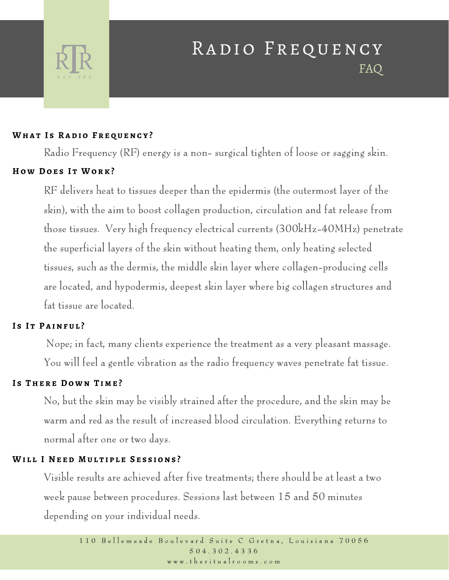

# RADIO FREQUENCY FAQ

#### **Wha t I s Ra d i o F r e q u enc y ?**

Radio Frequency (RF) energy is a non- surgical tighten of loose or sagging skin.

## **H o w Do e s I t Wo r k ?**

RF delivers heat to tissues deeper than the epidermis (the outermost layer of the skin), with the aim to boost collagen production, circulation and fat release from those tissues. Very high frequency electrical currents (300kHz-40MHz) penetrate the superficial layers of the skin without heating them, only heating selected tissues, such as the dermis, the middle skin layer where collagen-producing cells are located, and hypodermis, deepest skin layer where big collagen structures and fat tissue are located.

# **I s I t P a inf u l ?**

Nope; in fact, many clients experience the treatment as a very pleasant massage. You will feel a gentle vibration as the radio frequency waves penetrate fat tissue.

# **I s The r e Do w n T i m e ?**

No, but the skin may be visibly strained after the procedure, and the skin may be warm and red as the result of increased blood circulation. Everything returns to normal after one or two days.

### **Wi l l I N e e d M u l t i p l e S e s s i ons ?**

Visible results are achieved after five treatments; there should be at least a two week pause between procedures. Sessions last between 15 and 50 minutes depending on your individual needs.